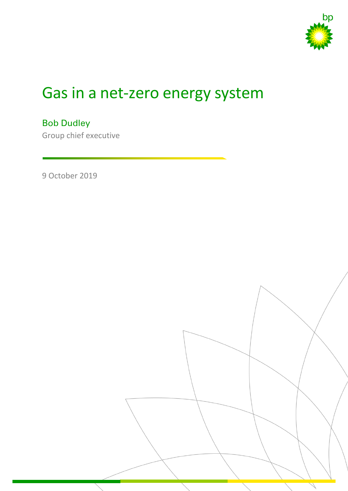

# Gas in a net-zero energy system

Bob Dudley Group chief executive

9 October 2019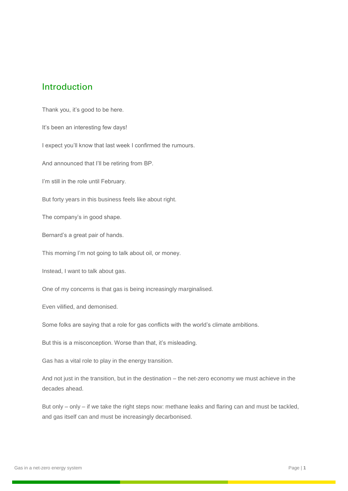## Introduction

Thank you, it's good to be here. It's been an interesting few days! I expect you'll know that last week I confirmed the rumours. And announced that I'll be retiring from BP. I'm still in the role until February. But forty years in this business feels like about right. The company's in good shape. Bernard's a great pair of hands. This morning I'm not going to talk about oil, or money. Instead, I want to talk about gas. One of my concerns is that gas is being increasingly marginalised. Even vilified, and demonised. Some folks are saying that a role for gas conflicts with the world's climate ambitions. But this is a misconception. Worse than that, it's misleading. Gas has a vital role to play in the energy transition. And not just in the transition, but in the destination – the net-zero economy we must achieve in the decades ahead. But only – only – if we take the right steps now: methane leaks and flaring can and must be tackled,

and gas itself can and must be increasingly decarbonised.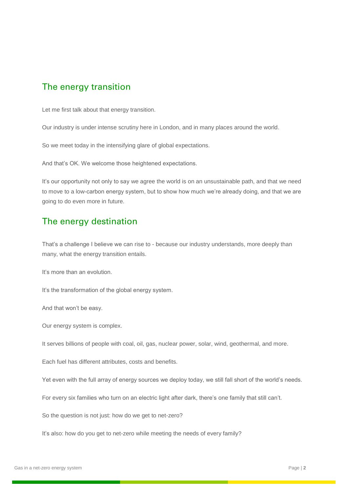## The energy transition

Let me first talk about that energy transition.

Our industry is under intense scrutiny here in London, and in many places around the world.

So we meet today in the intensifying glare of global expectations.

And that's OK. We welcome those heightened expectations.

It's our opportunity not only to say we agree the world is on an unsustainable path, and that we need to move to a low-carbon energy system, but to show how much we're already doing, and that we are going to do even more in future.

#### The energy destination

That's a challenge I believe we can rise to - because our industry understands, more deeply than many, what the energy transition entails.

It's more than an evolution.

It's the transformation of the global energy system.

And that won't be easy.

Our energy system is complex.

It serves billions of people with coal, oil, gas, nuclear power, solar, wind, geothermal, and more.

Each fuel has different attributes, costs and benefits.

Yet even with the full array of energy sources we deploy today, we still fall short of the world's needs.

For every six families who turn on an electric light after dark, there's one family that still can't.

So the question is not just: how do we get to net-zero?

It's also: how do you get to net-zero while meeting the needs of every family?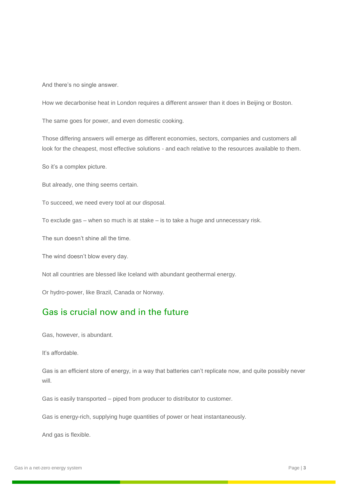And there's no single answer.

How we decarbonise heat in London requires a different answer than it does in Beijing or Boston.

The same goes for power, and even domestic cooking.

Those differing answers will emerge as different economies, sectors, companies and customers all look for the cheapest, most effective solutions - and each relative to the resources available to them.

So it's a complex picture.

But already, one thing seems certain.

To succeed, we need every tool at our disposal.

To exclude gas – when so much is at stake – is to take a huge and unnecessary risk.

The sun doesn't shine all the time.

The wind doesn't blow every day.

Not all countries are blessed like Iceland with abundant geothermal energy.

Or hydro-power, like Brazil, Canada or Norway.

#### Gas is crucial now and in the future

Gas, however, is abundant.

It's affordable.

Gas is an efficient store of energy, in a way that batteries can't replicate now, and quite possibly never will.

Gas is easily transported – piped from producer to distributor to customer.

Gas is energy-rich, supplying huge quantities of power or heat instantaneously.

And gas is flexible.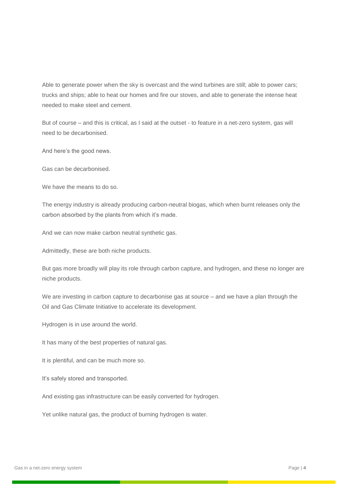Able to generate power when the sky is overcast and the wind turbines are still; able to power cars; trucks and ships; able to heat our homes and fire our stoves, and able to generate the intense heat needed to make steel and cement.

But of course – and this is critical, as I said at the outset - to feature in a net-zero system, gas will need to be decarbonised.

And here's the good news.

Gas can be decarbonised.

We have the means to do so.

The energy industry is already producing carbon-neutral biogas, which when burnt releases only the carbon absorbed by the plants from which it's made.

And we can now make carbon neutral synthetic gas.

Admittedly, these are both niche products.

But gas more broadly will play its role through carbon capture, and hydrogen, and these no longer are niche products.

We are investing in carbon capture to decarbonise gas at source – and we have a plan through the Oil and Gas Climate Initiative to accelerate its development.

Hydrogen is in use around the world.

It has many of the best properties of natural gas.

It is plentiful, and can be much more so.

It's safely stored and transported.

And existing gas infrastructure can be easily converted for hydrogen.

Yet unlike natural gas, the product of burning hydrogen is water.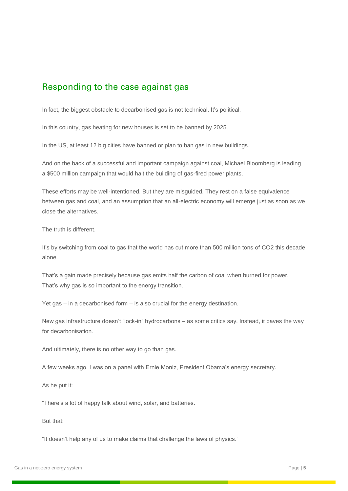#### Responding to the case against gas

In fact, the biggest obstacle to decarbonised gas is not technical. It's political.

In this country, gas heating for new houses is set to be banned by 2025.

In the US, at least 12 big cities have banned or plan to ban gas in new buildings.

And on the back of a successful and important campaign against coal, Michael Bloomberg is leading a \$500 million campaign that would halt the building of gas-fired power plants.

These efforts may be well-intentioned. But they are misguided. They rest on a false equivalence between gas and coal, and an assumption that an all-electric economy will emerge just as soon as we close the alternatives.

The truth is different.

It's by switching from coal to gas that the world has cut more than 500 million tons of CO2 this decade alone.

That's a gain made precisely because gas emits half the carbon of coal when burned for power. That's why gas is so important to the energy transition.

Yet gas – in a decarbonised form – is also crucial for the energy destination.

New gas infrastructure doesn't "lock-in" hydrocarbons – as some critics say. Instead, it paves the way for decarbonisation.

And ultimately, there is no other way to go than gas.

A few weeks ago, I was on a panel with Ernie Moniz, President Obama's energy secretary.

As he put it:

"There's a lot of happy talk about wind, solar, and batteries."

But that:

"It doesn't help any of us to make claims that challenge the laws of physics."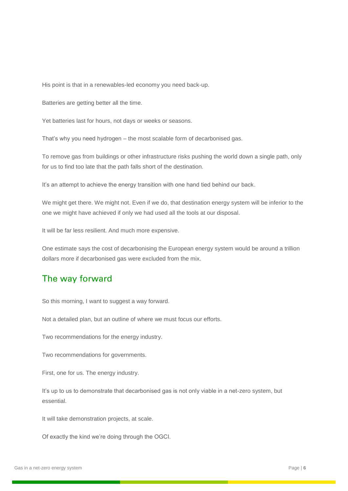His point is that in a renewables-led economy you need back-up.

Batteries are getting better all the time.

Yet batteries last for hours, not days or weeks or seasons.

That's why you need hydrogen – the most scalable form of decarbonised gas.

To remove gas from buildings or other infrastructure risks pushing the world down a single path, only for us to find too late that the path falls short of the destination.

It's an attempt to achieve the energy transition with one hand tied behind our back.

We might get there. We might not. Even if we do, that destination energy system will be inferior to the one we might have achieved if only we had used all the tools at our disposal.

It will be far less resilient. And much more expensive.

One estimate says the cost of decarbonising the European energy system would be around a trillion dollars more if decarbonised gas were excluded from the mix.

## The way forward

So this morning, I want to suggest a way forward.

Not a detailed plan, but an outline of where we must focus our efforts.

Two recommendations for the energy industry.

Two recommendations for governments.

First, one for us. The energy industry.

It's up to us to demonstrate that decarbonised gas is not only viable in a net-zero system, but essential.

It will take demonstration projects, at scale.

Of exactly the kind we're doing through the OGCI.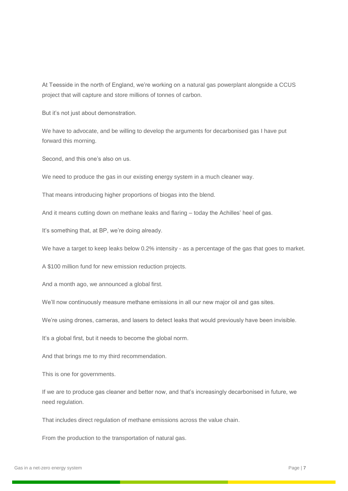At Teesside in the north of England, we're working on a natural gas powerplant alongside a CCUS project that will capture and store millions of tonnes of carbon.

But it's not just about demonstration.

We have to advocate, and be willing to develop the arguments for decarbonised gas I have put forward this morning.

Second, and this one's also on us.

We need to produce the gas in our existing energy system in a much cleaner way.

That means introducing higher proportions of biogas into the blend.

And it means cutting down on methane leaks and flaring – today the Achilles' heel of gas.

It's something that, at BP, we're doing already.

We have a target to keep leaks below 0.2% intensity - as a percentage of the gas that goes to market.

A \$100 million fund for new emission reduction projects.

And a month ago, we announced a global first.

We'll now continuously measure methane emissions in all our new major oil and gas sites.

We're using drones, cameras, and lasers to detect leaks that would previously have been invisible.

It's a global first, but it needs to become the global norm.

And that brings me to my third recommendation.

This is one for governments.

If we are to produce gas cleaner and better now, and that's increasingly decarbonised in future, we need regulation.

That includes direct regulation of methane emissions across the value chain.

From the production to the transportation of natural gas.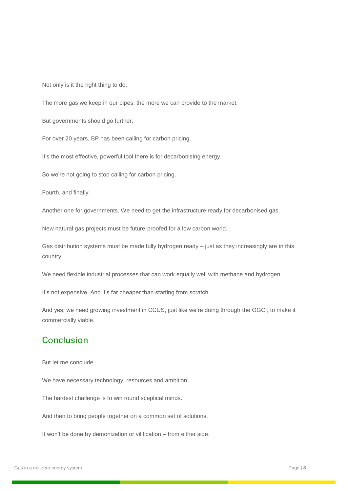Not only is it the right thing to do.

The more gas we keep in our pipes, the more we can provide to the market.

But governments should go further.

For over 20 years, BP has been calling for carbon pricing.

It's the most effective, powerful tool there is for decarbonising energy.

So we're not going to stop calling for carbon pricing.

Fourth, and finally.

Another one for governments. We need to get the infrastructure ready for decarbonised gas.

New natural gas projects must be future-proofed for a low carbon world.

Gas distribution systems must be made fully hydrogen ready – just as they increasingly are in this country.

We need flexible industrial processes that can work equally well with methane and hydrogen.

It's not expensive. And it's far cheaper than starting from scratch.

And yes, we need growing investment in CCUS, just like we're doing through the OGCI, to make it commercially viable.

#### Conclusion

But let me conclude.

We have necessary technology, resources and ambition.

The hardest challenge is to win round sceptical minds.

And then to bring people together on a common set of solutions.

It won't be done by demonization or vilification – from either side.